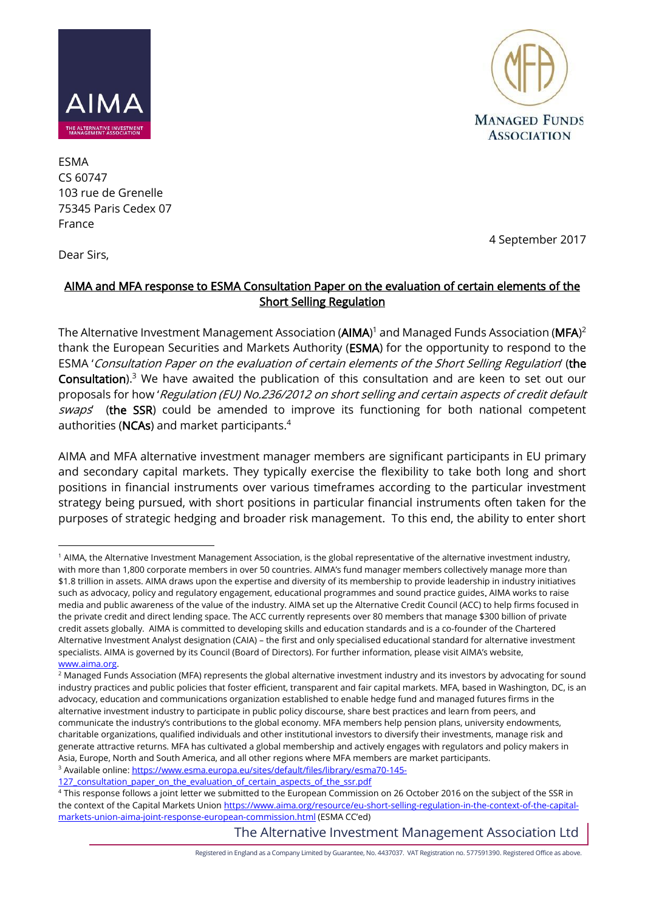



ESMA CS 60747 103 rue de Grenelle 75345 Paris Cedex 07 France

4 September 2017

Dear Sirs,

# AIMA and MFA response to ESMA Consultation Paper on the evaluation of certain elements of the Short Selling Regulation

The Alternative Investment Management Association ( $AIMA$ <sup>)1</sup> and Managed Funds Association ( $MFA$ )<sup>2</sup> thank the European Securities and Markets Authority (ESMA) for the opportunity to respond to the ESMA 'Consultation Paper on the evaluation of certain elements of the Short Selling Regulation' (the Consultation).<sup>3</sup> We have awaited the publication of this consultation and are keen to set out our proposals for how 'Regulation (EU) No.236/2012 on short selling and certain aspects of credit default swaps' (the SSR) could be amended to improve its functioning for both national competent authorities (NCAs) and market participants.<sup>4</sup>

AIMA and MFA alternative investment manager members are significant participants in EU primary and secondary capital markets. They typically exercise the flexibility to take both long and short positions in financial instruments over various timeframes according to the particular investment strategy being pursued, with short positions in particular financial instruments often taken for the purposes of strategic hedging and broader risk management. To this end, the ability to enter short

[127\\_consultation\\_paper\\_on\\_the\\_evaluation\\_of\\_certain\\_aspects\\_of\\_the\\_ssr.pdf](https://www.esma.europa.eu/sites/default/files/library/esma70-145-127_consultation_paper_on_the_evaluation_of_certain_aspects_of_the_ssr.pdf)

The Alternative Investment Management Association Ltd

Registered in England as a Company Limited by Guarantee, No. 4437037. VAT Registration no. 577591390. Registered Office as above.

<sup>&</sup>lt;u>.</u> <sup>1</sup> AIMA, the Alternative Investment Management Association, is the global representative of the alternative investment industry, with more than 1,800 corporate members in over 50 countries. AIMA's fund manager members collectively manage more than \$1.8 trillion in assets. AIMA draws upon the expertise and diversity of its membership to provide leadership in industry initiatives such as advocacy, policy and regulatory engagement, educational programmes and sound practice guides. AIMA works to raise media and public awareness of the value of the industry. AIMA set up the Alternative Credit Council (ACC) to help firms focused in the private credit and direct lending space. The ACC currently represents over 80 members that manage \$300 billion of private credit assets globally. AIMA is committed to developing skills and education standards and is a co-founder of the Chartered Alternative Investment Analyst designation (CAIA) – the first and only specialised educational standard for alternative investment specialists. AIMA is governed by its Council (Board of Directors). For further information, please visit AIMA's website, [www.aima.org.](http://www.aima.org/)

<sup>&</sup>lt;sup>2</sup> Managed Funds Association (MFA) represents the global alternative investment industry and its investors by advocating for sound industry practices and public policies that foster efficient, transparent and fair capital markets. MFA, based in Washington, DC, is an advocacy, education and communications organization established to enable hedge fund and managed futures firms in the alternative investment industry to participate in public policy discourse, share best practices and learn from peers, and communicate the industry's contributions to the global economy. MFA members help pension plans, university endowments, charitable organizations, qualified individuals and other institutional investors to diversify their investments, manage risk and generate attractive returns. MFA has cultivated a global membership and actively engages with regulators and policy makers in Asia, Europe, North and South America, and all other regions where MFA members are market participants. <sup>3</sup> Available online: [https://www.esma.europa.eu/sites/default/files/library/esma70-145-](https://www.esma.europa.eu/sites/default/files/library/esma70-145-127_consultation_paper_on_the_evaluation_of_certain_aspects_of_the_ssr.pdf)

<sup>4</sup> This response follows a joint letter we submitted to the European Commission on 26 October 2016 on the subject of the SSR in the context of the Capital Markets Union [https://www.aima.org/resource/eu-short-selling-regulation-in-the-context-of-the-capital](https://www.aima.org/resource/eu-short-selling-regulation-in-the-context-of-the-capital-markets-union-aima-joint-response-european-commission.html)[markets-union-aima-joint-response-european-commission.html](https://www.aima.org/resource/eu-short-selling-regulation-in-the-context-of-the-capital-markets-union-aima-joint-response-european-commission.html) (ESMA CC'ed)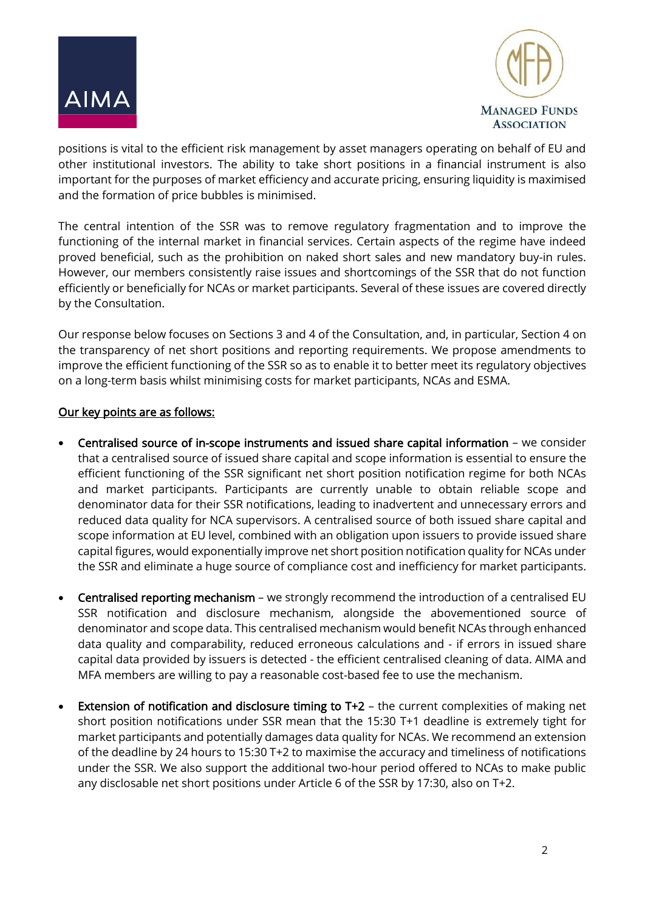



positions is vital to the efficient risk management by asset managers operating on behalf of EU and other institutional investors. The ability to take short positions in a financial instrument is also important for the purposes of market efficiency and accurate pricing, ensuring liquidity is maximised and the formation of price bubbles is minimised.

The central intention of the SSR was to remove regulatory fragmentation and to improve the functioning of the internal market in financial services. Certain aspects of the regime have indeed proved beneficial, such as the prohibition on naked short sales and new mandatory buy-in rules. However, our members consistently raise issues and shortcomings of the SSR that do not function efficiently or beneficially for NCAs or market participants. Several of these issues are covered directly by the Consultation.

Our response below focuses on Sections 3 and 4 of the Consultation, and, in particular, Section 4 on the transparency of net short positions and reporting requirements. We propose amendments to improve the efficient functioning of the SSR so as to enable it to better meet its regulatory objectives on a long-term basis whilst minimising costs for market participants, NCAs and ESMA.

## Our key points are as follows:

- Centralised source of in-scope instruments and issued share capital information we consider that a centralised source of issued share capital and scope information is essential to ensure the efficient functioning of the SSR significant net short position notification regime for both NCAs and market participants. Participants are currently unable to obtain reliable scope and denominator data for their SSR notifications, leading to inadvertent and unnecessary errors and reduced data quality for NCA supervisors. A centralised source of both issued share capital and scope information at EU level, combined with an obligation upon issuers to provide issued share capital figures, would exponentially improve net short position notification quality for NCAs under the SSR and eliminate a huge source of compliance cost and inefficiency for market participants.
- Centralised reporting mechanism we strongly recommend the introduction of a centralised EU SSR notification and disclosure mechanism, alongside the abovementioned source of denominator and scope data. This centralised mechanism would benefit NCAs through enhanced data quality and comparability, reduced erroneous calculations and - if errors in issued share capital data provided by issuers is detected - the efficient centralised cleaning of data. AIMA and MFA members are willing to pay a reasonable cost-based fee to use the mechanism.
- **Extension of notification and disclosure timing to T+2** the current complexities of making net short position notifications under SSR mean that the 15:30 T+1 deadline is extremely tight for market participants and potentially damages data quality for NCAs. We recommend an extension of the deadline by 24 hours to 15:30 T+2 to maximise the accuracy and timeliness of notifications under the SSR. We also support the additional two-hour period offered to NCAs to make public any disclosable net short positions under Article 6 of the SSR by 17:30, also on T+2.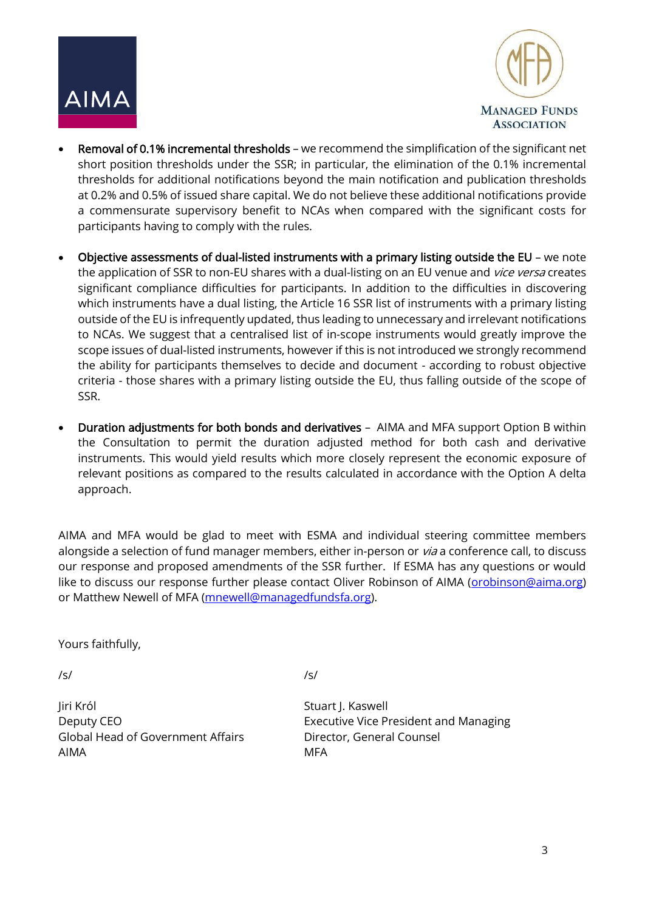



- Removal of 0.1% incremental thresholds we recommend the simplification of the significant net short position thresholds under the SSR; in particular, the elimination of the 0.1% incremental thresholds for additional notifications beyond the main notification and publication thresholds at 0.2% and 0.5% of issued share capital. We do not believe these additional notifications provide a commensurate supervisory benefit to NCAs when compared with the significant costs for participants having to comply with the rules.
- Objective assessments of dual-listed instruments with a primary listing outside the EU we note the application of SSR to non-EU shares with a dual-listing on an EU venue and *vice versa* creates significant compliance difficulties for participants. In addition to the difficulties in discovering which instruments have a dual listing, the Article 16 SSR list of instruments with a primary listing outside of the EU is infrequently updated, thus leading to unnecessary and irrelevant notifications to NCAs. We suggest that a centralised list of in-scope instruments would greatly improve the scope issues of dual-listed instruments, however if this is not introduced we strongly recommend the ability for participants themselves to decide and document - according to robust objective criteria - those shares with a primary listing outside the EU, thus falling outside of the scope of SSR.
- Duration adjustments for both bonds and derivatives AIMA and MFA support Option B within the Consultation to permit the duration adjusted method for both cash and derivative instruments. This would yield results which more closely represent the economic exposure of relevant positions as compared to the results calculated in accordance with the Option A delta approach.

AIMA and MFA would be glad to meet with ESMA and individual steering committee members alongside a selection of fund manager members, either in-person or *via* a conference call, to discuss our response and proposed amendments of the SSR further. If ESMA has any questions or would like to discuss our response further please contact Oliver Robinson of AIMA [\(orobinson@aima.org\)](mailto:orobinson@aima.org) or Matthew Newell of MFA [\(mnewell@managedfundsfa.org\)](mailto:mnewell@managedfunds.org).

Yours faithfully,

/s/ /s/

Jiri Król Stuart J. Kaswell Global Head of Government Affairs Director, General Counsel AIMA MFA

Deputy CEO **Executive Vice President and Managing**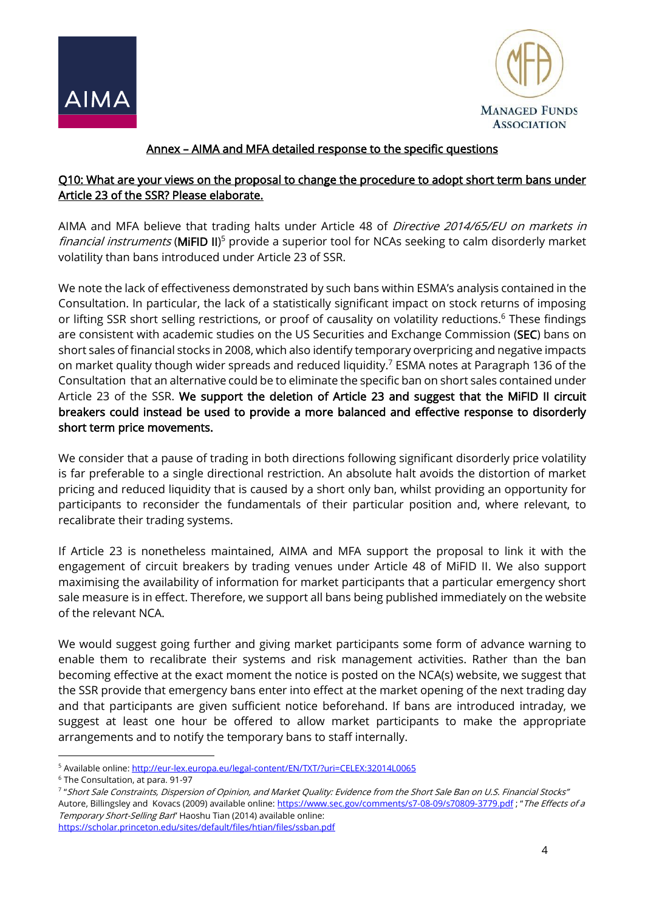



# Annex – AIMA and MFA detailed response to the specific questions

### Q10: What are your views on the proposal to change the procedure to adopt short term bans under Article 23 of the SSR? Please elaborate.

AIMA and MFA believe that trading halts under Article 48 of Directive 2014/65/EU on markets in financial instruments (MiFID II)<sup>5</sup> provide a superior tool for NCAs seeking to calm disorderly market volatility than bans introduced under Article 23 of SSR.

We note the lack of effectiveness demonstrated by such bans within ESMA's analysis contained in the Consultation. In particular, the lack of a statistically significant impact on stock returns of imposing or lifting SSR short selling restrictions, or proof of causality on volatility reductions.<sup>6</sup> These findings are consistent with academic studies on the US Securities and Exchange Commission (SEC) bans on short sales of financial stocks in 2008, which also identify temporary overpricing and negative impacts on market quality though wider spreads and reduced liquidity.<sup>7</sup> ESMA notes at Paragraph 136 of the Consultation that an alternative could be to eliminate the specific ban on short sales contained under Article 23 of the SSR. We support the deletion of Article 23 and suggest that the MiFID II circuit breakers could instead be used to provide a more balanced and effective response to disorderly short term price movements.

We consider that a pause of trading in both directions following significant disorderly price volatility is far preferable to a single directional restriction. An absolute halt avoids the distortion of market pricing and reduced liquidity that is caused by a short only ban, whilst providing an opportunity for participants to reconsider the fundamentals of their particular position and, where relevant, to recalibrate their trading systems.

If Article 23 is nonetheless maintained, AIMA and MFA support the proposal to link it with the engagement of circuit breakers by trading venues under Article 48 of MiFID II. We also support maximising the availability of information for market participants that a particular emergency short sale measure is in effect. Therefore, we support all bans being published immediately on the website of the relevant NCA.

We would suggest going further and giving market participants some form of advance warning to enable them to recalibrate their systems and risk management activities. Rather than the ban becoming effective at the exact moment the notice is posted on the NCA(s) website, we suggest that the SSR provide that emergency bans enter into effect at the market opening of the next trading day and that participants are given sufficient notice beforehand. If bans are introduced intraday, we suggest at least one hour be offered to allow market participants to make the appropriate arrangements and to notify the temporary bans to staff internally.

<u>.</u>

<sup>5</sup> Available online:<http://eur-lex.europa.eu/legal-content/EN/TXT/?uri=CELEX:32014L0065>

<sup>6</sup> The Consultation, at para. 91-97

<sup>7</sup> "Short Sale Constraints, Dispersion of Opinion, and Market Quality: Evidence from the Short Sale Ban on U.S. Financial Stocks" Autore, Billingsley and Kovacs (2009) available online[: https://www.sec.gov/comments/s7-08-09/s70809-3779.pdf](https://www.sec.gov/comments/s7-08-09/s70809-3779.pdf); "The Effects of a Temporary Short-Selling Ban" Haoshu Tian (2014) available online: <https://scholar.princeton.edu/sites/default/files/htian/files/ssban.pdf>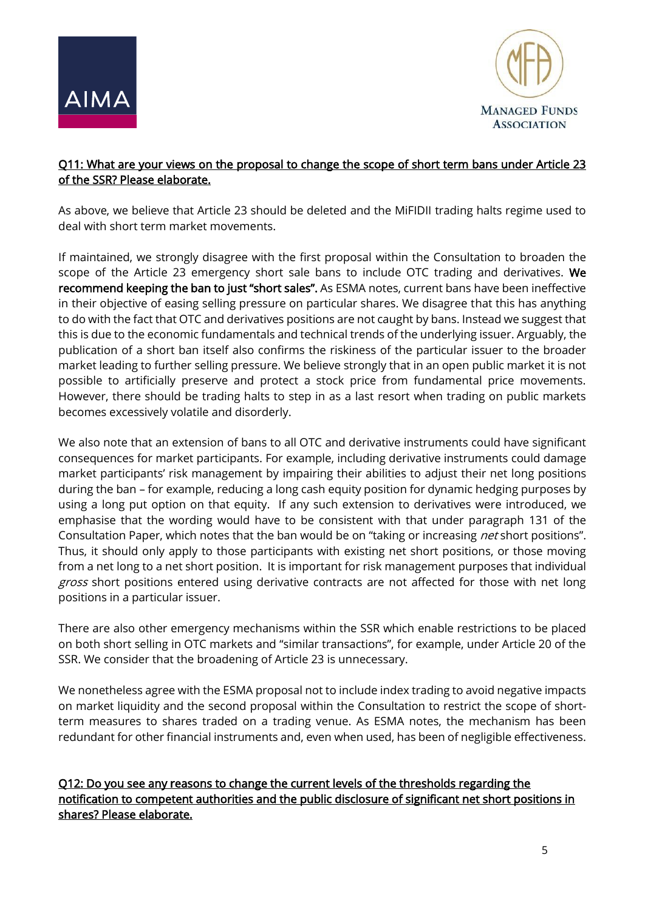



## Q11: What are your views on the proposal to change the scope of short term bans under Article 23 of the SSR? Please elaborate.

As above, we believe that Article 23 should be deleted and the MiFIDII trading halts regime used to deal with short term market movements.

If maintained, we strongly disagree with the first proposal within the Consultation to broaden the scope of the Article 23 emergency short sale bans to include OTC trading and derivatives. We recommend keeping the ban to just "short sales". As ESMA notes, current bans have been ineffective in their objective of easing selling pressure on particular shares. We disagree that this has anything to do with the fact that OTC and derivatives positions are not caught by bans. Instead we suggest that this is due to the economic fundamentals and technical trends of the underlying issuer. Arguably, the publication of a short ban itself also confirms the riskiness of the particular issuer to the broader market leading to further selling pressure. We believe strongly that in an open public market it is not possible to artificially preserve and protect a stock price from fundamental price movements. However, there should be trading halts to step in as a last resort when trading on public markets becomes excessively volatile and disorderly.

We also note that an extension of bans to all OTC and derivative instruments could have significant consequences for market participants. For example, including derivative instruments could damage market participants' risk management by impairing their abilities to adjust their net long positions during the ban – for example, reducing a long cash equity position for dynamic hedging purposes by using a long put option on that equity. If any such extension to derivatives were introduced, we emphasise that the wording would have to be consistent with that under paragraph 131 of the Consultation Paper, which notes that the ban would be on "taking or increasing net short positions". Thus, it should only apply to those participants with existing net short positions, or those moving from a net long to a net short position. It is important for risk management purposes that individual gross short positions entered using derivative contracts are not affected for those with net long positions in a particular issuer.

There are also other emergency mechanisms within the SSR which enable restrictions to be placed on both short selling in OTC markets and "similar transactions", for example, under Article 20 of the SSR. We consider that the broadening of Article 23 is unnecessary.

We nonetheless agree with the ESMA proposal not to include index trading to avoid negative impacts on market liquidity and the second proposal within the Consultation to restrict the scope of shortterm measures to shares traded on a trading venue. As ESMA notes, the mechanism has been redundant for other financial instruments and, even when used, has been of negligible effectiveness.

Q12: Do you see any reasons to change the current levels of the thresholds regarding the notification to competent authorities and the public disclosure of significant net short positions in shares? Please elaborate.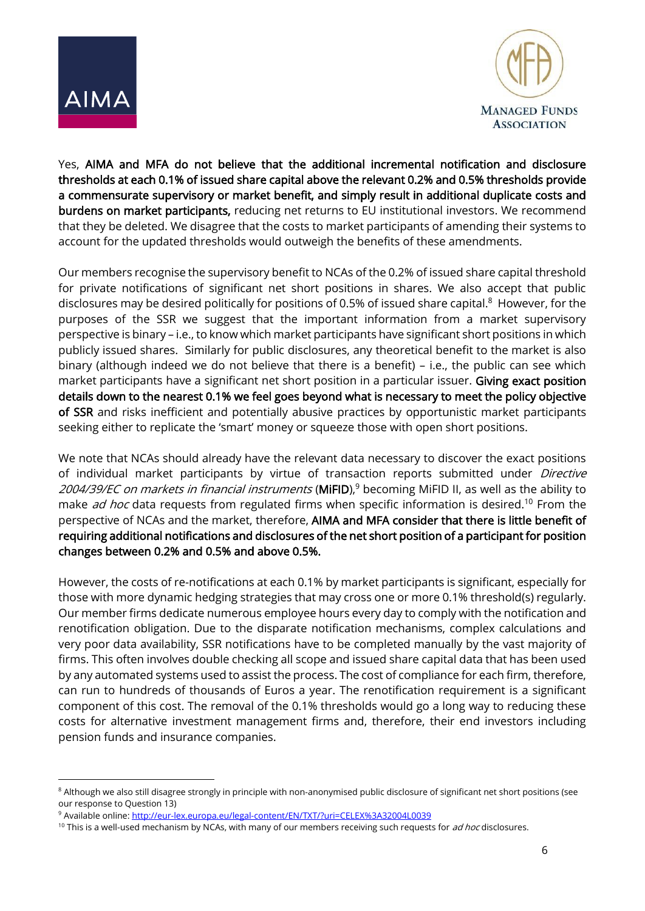



Yes, AIMA and MFA do not believe that the additional incremental notification and disclosure thresholds at each 0.1% of issued share capital above the relevant 0.2% and 0.5% thresholds provide a commensurate supervisory or market benefit, and simply result in additional duplicate costs and burdens on market participants, reducing net returns to EU institutional investors. We recommend that they be deleted. We disagree that the costs to market participants of amending their systems to account for the updated thresholds would outweigh the benefits of these amendments.

Our members recognise the supervisory benefit to NCAs of the 0.2% of issued share capital threshold for private notifications of significant net short positions in shares. We also accept that public disclosures may be desired politically for positions of 0.5% of issued share capital.<sup>8</sup> However, for the purposes of the SSR we suggest that the important information from a market supervisory perspective is binary – i.e., to know which market participants have significant short positions in which publicly issued shares. Similarly for public disclosures, any theoretical benefit to the market is also binary (although indeed we do not believe that there is a benefit) – i.e., the public can see which market participants have a significant net short position in a particular issuer. Giving exact position details down to the nearest 0.1% we feel goes beyond what is necessary to meet the policy objective of SSR and risks inefficient and potentially abusive practices by opportunistic market participants seeking either to replicate the 'smart' money or squeeze those with open short positions.

We note that NCAs should already have the relevant data necessary to discover the exact positions of individual market participants by virtue of transaction reports submitted under *Directive* 2004/39/EC on markets in financial instruments (**MiFID**),<sup>9</sup> becoming MiFID II, as well as the ability to make *ad hoc* data requests from regulated firms when specific information is desired.<sup>10</sup> From the perspective of NCAs and the market, therefore, AIMA and MFA consider that there is little benefit of requiring additional notifications and disclosures of the net short position of a participant for position changes between 0.2% and 0.5% and above 0.5%.

However, the costs of re-notifications at each 0.1% by market participants is significant, especially for those with more dynamic hedging strategies that may cross one or more 0.1% threshold(s) regularly. Our member firms dedicate numerous employee hours every day to comply with the notification and renotification obligation. Due to the disparate notification mechanisms, complex calculations and very poor data availability, SSR notifications have to be completed manually by the vast majority of firms. This often involves double checking all scope and issued share capital data that has been used by any automated systems used to assist the process. The cost of compliance for each firm, therefore, can run to hundreds of thousands of Euros a year. The renotification requirement is a significant component of this cost. The removal of the 0.1% thresholds would go a long way to reducing these costs for alternative investment management firms and, therefore, their end investors including pension funds and insurance companies.

<sup>&</sup>lt;sup>8</sup> Although we also still disagree strongly in principle with non-anonymised public disclosure of significant net short positions (see our response to Question 13)

<sup>9</sup> Available online:<http://eur-lex.europa.eu/legal-content/EN/TXT/?uri=CELEX%3A32004L0039>

<sup>&</sup>lt;sup>10</sup> This is a well-used mechanism by NCAs, with many of our members receiving such requests for *ad hoc* disclosures.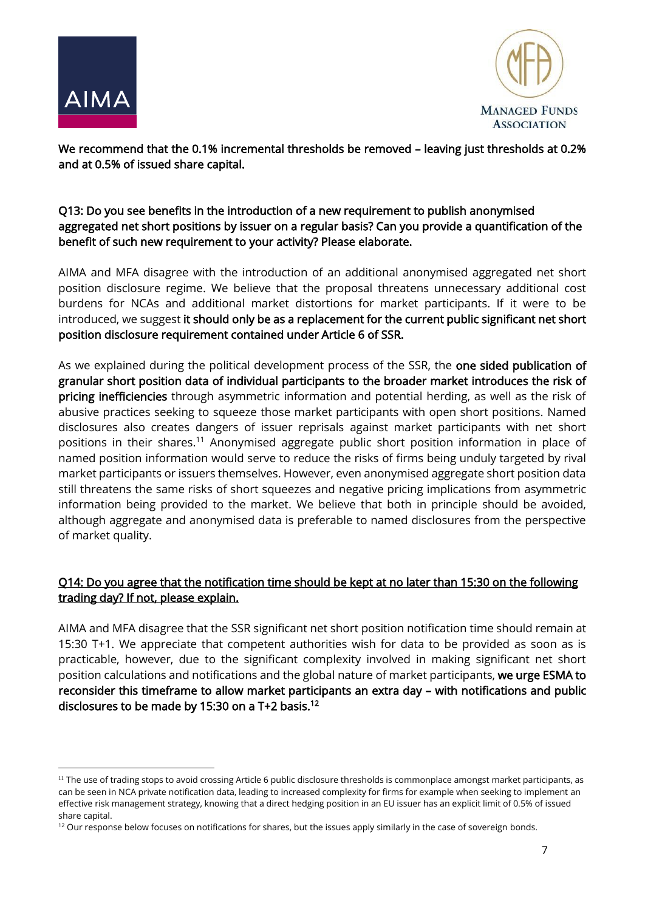

<u>.</u>



We recommend that the 0.1% incremental thresholds be removed – leaving just thresholds at 0.2% and at 0.5% of issued share capital.

## Q13: Do you see benefits in the introduction of a new requirement to publish anonymised aggregated net short positions by issuer on a regular basis? Can you provide a quantification of the benefit of such new requirement to your activity? Please elaborate.

AIMA and MFA disagree with the introduction of an additional anonymised aggregated net short position disclosure regime. We believe that the proposal threatens unnecessary additional cost burdens for NCAs and additional market distortions for market participants. If it were to be introduced, we suggest it should only be as a replacement for the current public significant net short position disclosure requirement contained under Article 6 of SSR.

As we explained during the political development process of the SSR, the one sided publication of granular short position data of individual participants to the broader market introduces the risk of pricing inefficiencies through asymmetric information and potential herding, as well as the risk of abusive practices seeking to squeeze those market participants with open short positions. Named disclosures also creates dangers of issuer reprisals against market participants with net short positions in their shares.<sup>11</sup> Anonymised aggregate public short position information in place of named position information would serve to reduce the risks of firms being unduly targeted by rival market participants or issuers themselves. However, even anonymised aggregate short position data still threatens the same risks of short squeezes and negative pricing implications from asymmetric information being provided to the market. We believe that both in principle should be avoided, although aggregate and anonymised data is preferable to named disclosures from the perspective of market quality.

# Q14: Do you agree that the notification time should be kept at no later than 15:30 on the following trading day? If not, please explain.

AIMA and MFA disagree that the SSR significant net short position notification time should remain at 15:30 T+1. We appreciate that competent authorities wish for data to be provided as soon as is practicable, however, due to the significant complexity involved in making significant net short position calculations and notifications and the global nature of market participants, we urge ESMA to reconsider this timeframe to allow market participants an extra day – with notifications and public disclosures to be made by 15:30 on a T+2 basis.<sup>12</sup>

<sup>&</sup>lt;sup>11</sup> The use of trading stops to avoid crossing Article 6 public disclosure thresholds is commonplace amongst market participants, as can be seen in NCA private notification data, leading to increased complexity for firms for example when seeking to implement an effective risk management strategy, knowing that a direct hedging position in an EU issuer has an explicit limit of 0.5% of issued share capital.

<sup>&</sup>lt;sup>12</sup> Our response below focuses on notifications for shares, but the issues apply similarly in the case of sovereign bonds.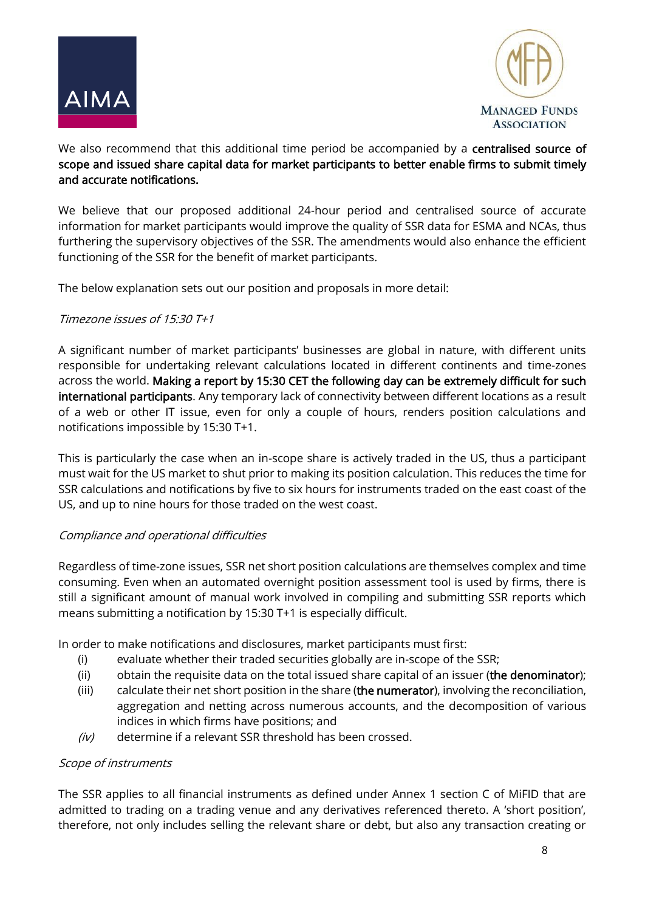



## We also recommend that this additional time period be accompanied by a centralised source of scope and issued share capital data for market participants to better enable firms to submit timely and accurate notifications.

We believe that our proposed additional 24-hour period and centralised source of accurate information for market participants would improve the quality of SSR data for ESMA and NCAs, thus furthering the supervisory objectives of the SSR. The amendments would also enhance the efficient functioning of the SSR for the benefit of market participants.

The below explanation sets out our position and proposals in more detail:

## Timezone issues of 15:30 T+1

A significant number of market participants' businesses are global in nature, with different units responsible for undertaking relevant calculations located in different continents and time-zones across the world. Making a report by 15:30 CET the following day can be extremely difficult for such international participants. Any temporary lack of connectivity between different locations as a result of a web or other IT issue, even for only a couple of hours, renders position calculations and notifications impossible by 15:30 T+1.

This is particularly the case when an in-scope share is actively traded in the US, thus a participant must wait for the US market to shut prior to making its position calculation. This reduces the time for SSR calculations and notifications by five to six hours for instruments traded on the east coast of the US, and up to nine hours for those traded on the west coast.

#### Compliance and operational difficulties

Regardless of time-zone issues, SSR net short position calculations are themselves complex and time consuming. Even when an automated overnight position assessment tool is used by firms, there is still a significant amount of manual work involved in compiling and submitting SSR reports which means submitting a notification by 15:30 T+1 is especially difficult.

In order to make notifications and disclosures, market participants must first:

- (i) evaluate whether their traded securities globally are in-scope of the SSR;
- (ii) obtain the requisite data on the total issued share capital of an issuer (the denominator);
- (iii) calculate their net short position in the share (the numerator), involving the reconciliation, aggregation and netting across numerous accounts, and the decomposition of various indices in which firms have positions; and
- $(iv)$  determine if a relevant SSR threshold has been crossed.

#### Scope of instruments

The SSR applies to all financial instruments as defined under Annex 1 section C of MiFID that are admitted to trading on a trading venue and any derivatives referenced thereto. A 'short position', therefore, not only includes selling the relevant share or debt, but also any transaction creating or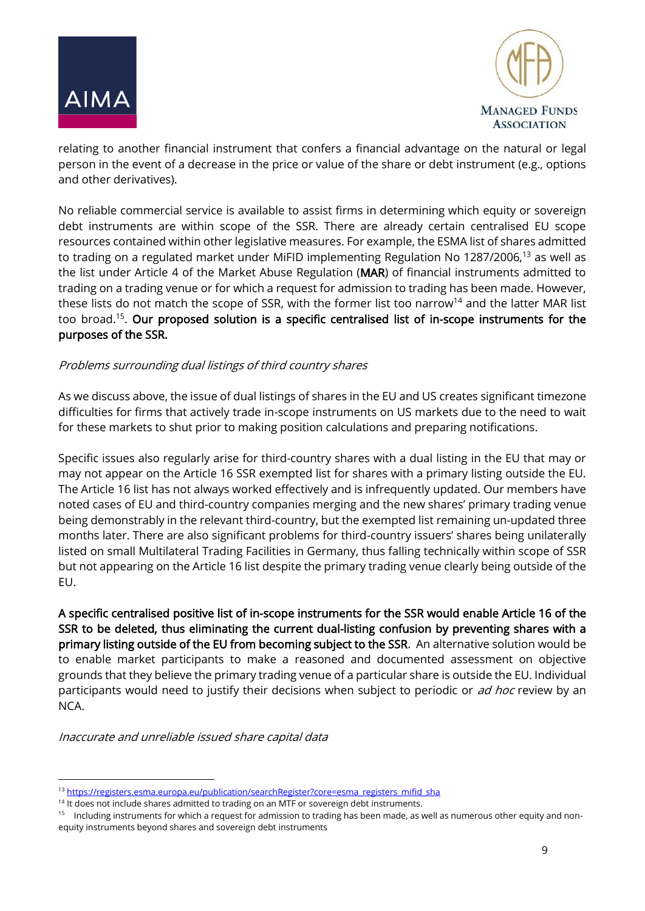



relating to another financial instrument that confers a financial advantage on the natural or legal person in the event of a decrease in the price or value of the share or debt instrument (e.g., options and other derivatives).

No reliable commercial service is available to assist firms in determining which equity or sovereign debt instruments are within scope of the SSR. There are already certain centralised EU scope resources contained within other legislative measures. For example, the ESMA list of shares admitted to trading on a regulated market under MiFID implementing Regulation No 1287/2006,<sup>13</sup> as well as the list under Article 4 of the Market Abuse Regulation (MAR) of financial instruments admitted to trading on a trading venue or for which a request for admission to trading has been made. However, these lists do not match the scope of SSR, with the former list too narrow<sup>14</sup> and the latter MAR list too broad.<sup>15</sup>. Our proposed solution is a specific centralised list of in-scope instruments for the purposes of the SSR.

#### Problems surrounding dual listings of third country shares

As we discuss above, the issue of dual listings of shares in the EU and US creates significant timezone difficulties for firms that actively trade in-scope instruments on US markets due to the need to wait for these markets to shut prior to making position calculations and preparing notifications.

Specific issues also regularly arise for third-country shares with a dual listing in the EU that may or may not appear on the Article 16 SSR exempted list for shares with a primary listing outside the EU. The Article 16 list has not always worked effectively and is infrequently updated. Our members have noted cases of EU and third-country companies merging and the new shares' primary trading venue being demonstrably in the relevant third-country, but the exempted list remaining un-updated three months later. There are also significant problems for third-country issuers' shares being unilaterally listed on small Multilateral Trading Facilities in Germany, thus falling technically within scope of SSR but not appearing on the Article 16 list despite the primary trading venue clearly being outside of the EU.

A specific centralised positive list of in-scope instruments for the SSR would enable Article 16 of the SSR to be deleted, thus eliminating the current dual-listing confusion by preventing shares with a primary listing outside of the EU from becoming subject to the SSR. An alternative solution would be to enable market participants to make a reasoned and documented assessment on objective grounds that they believe the primary trading venue of a particular share is outside the EU. Individual participants would need to justify their decisions when subject to periodic or ad hoc review by an NCA.

Inaccurate and unreliable issued share capital data

1

<sup>13</sup> [https://registers.esma.europa.eu/publication/searchRegister?core=esma\\_registers\\_mifid\\_sha](https://registers.esma.europa.eu/publication/searchRegister?core=esma_registers_mifid_sha)

<sup>&</sup>lt;sup>14</sup> It does not include shares admitted to trading on an MTF or sovereign debt instruments.

<sup>&</sup>lt;sup>15</sup> Including instruments for which a request for admission to trading has been made, as well as numerous other equity and nonequity instruments beyond shares and sovereign debt instruments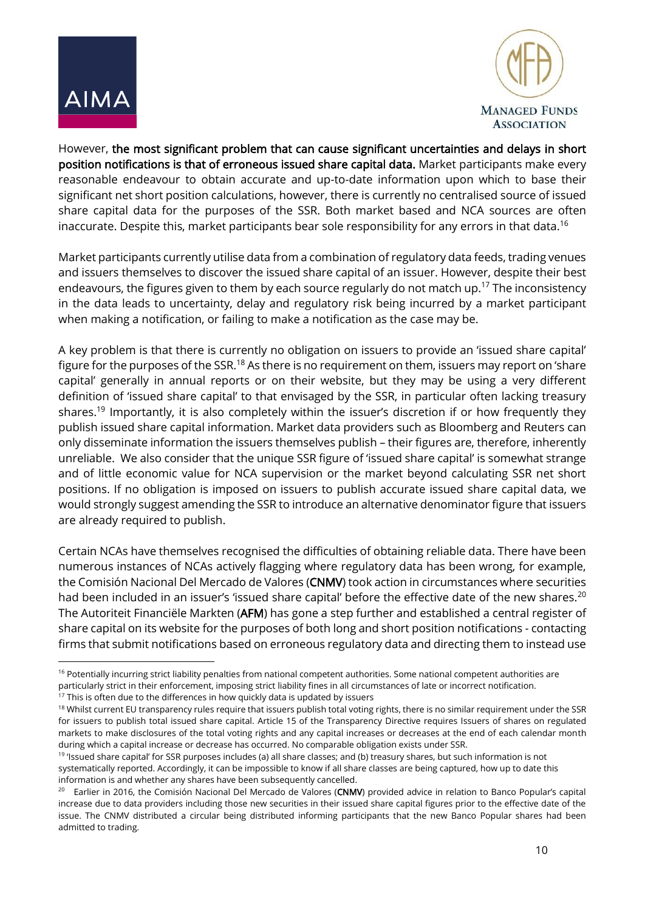



However, the most significant problem that can cause significant uncertainties and delays in short position notifications is that of erroneous issued share capital data. Market participants make every reasonable endeavour to obtain accurate and up-to-date information upon which to base their significant net short position calculations, however, there is currently no centralised source of issued share capital data for the purposes of the SSR. Both market based and NCA sources are often inaccurate. Despite this, market participants bear sole responsibility for any errors in that data.<sup>16</sup>

Market participants currently utilise data from a combination of regulatory data feeds, trading venues and issuers themselves to discover the issued share capital of an issuer. However, despite their best endeavours, the figures given to them by each source regularly do not match up.<sup>17</sup> The inconsistency in the data leads to uncertainty, delay and regulatory risk being incurred by a market participant when making a notification, or failing to make a notification as the case may be.

A key problem is that there is currently no obligation on issuers to provide an 'issued share capital' figure for the purposes of the SSR.<sup>18</sup> As there is no requirement on them, issuers may report on 'share capital' generally in annual reports or on their website, but they may be using a very different definition of 'issued share capital' to that envisaged by the SSR, in particular often lacking treasury shares. <sup>19</sup> Importantly, it is also completely within the issuer's discretion if or how frequently they publish issued share capital information. Market data providers such as Bloomberg and Reuters can only disseminate information the issuers themselves publish – their figures are, therefore, inherently unreliable. We also consider that the unique SSR figure of 'issued share capital' is somewhat strange and of little economic value for NCA supervision or the market beyond calculating SSR net short positions. If no obligation is imposed on issuers to publish accurate issued share capital data, we would strongly suggest amending the SSR to introduce an alternative denominator figure that issuers are already required to publish.

Certain NCAs have themselves recognised the difficulties of obtaining reliable data. There have been numerous instances of NCAs actively flagging where regulatory data has been wrong, for example, the Comisión Nacional Del Mercado de Valores (CNMV) took action in circumstances where securities had been included in an issuer's 'issued share capital' before the effective date of the new shares.<sup>20</sup> The Autoriteit Financiële Markten (AFM) has gone a step further and established a central register of share capital on its website for the purposes of both long and short position notifications - contacting firms that submit notifications based on erroneous regulatory data and directing them to instead use

<sup>&</sup>lt;sup>16</sup> Potentially incurring strict liability penalties from national competent authorities. Some national competent authorities are particularly strict in their enforcement, imposing strict liability fines in all circumstances of late or incorrect notification.

 $17$  This is often due to the differences in how quickly data is updated by issuers

<sup>18</sup> Whilst current EU transparency rules require that issuers publish total voting rights, there is no similar requirement under the SSR for issuers to publish total issued share capital. Article 15 of the Transparency Directive requires Issuers of shares on regulated markets to make disclosures of the total voting rights and any capital increases or decreases at the end of each calendar month during which a capital increase or decrease has occurred. No comparable obligation exists under SSR.

<sup>&</sup>lt;sup>19</sup> 'Issued share capital' for SSR purposes includes (a) all share classes; and (b) treasury shares, but such information is not systematically reported. Accordingly, it can be impossible to know if all share classes are being captured, how up to date this information is and whether any shares have been subsequently cancelled.

<sup>&</sup>lt;sup>20</sup> Earlier in 2016, the Comisión Nacional Del Mercado de Valores (CNMV) provided advice in relation to Banco Popular's capital increase due to data providers including those new securities in their issued share capital figures prior to the effective date of the issue. The CNMV distributed a circular being distributed informing participants that the new Banco Popular shares had been admitted to trading.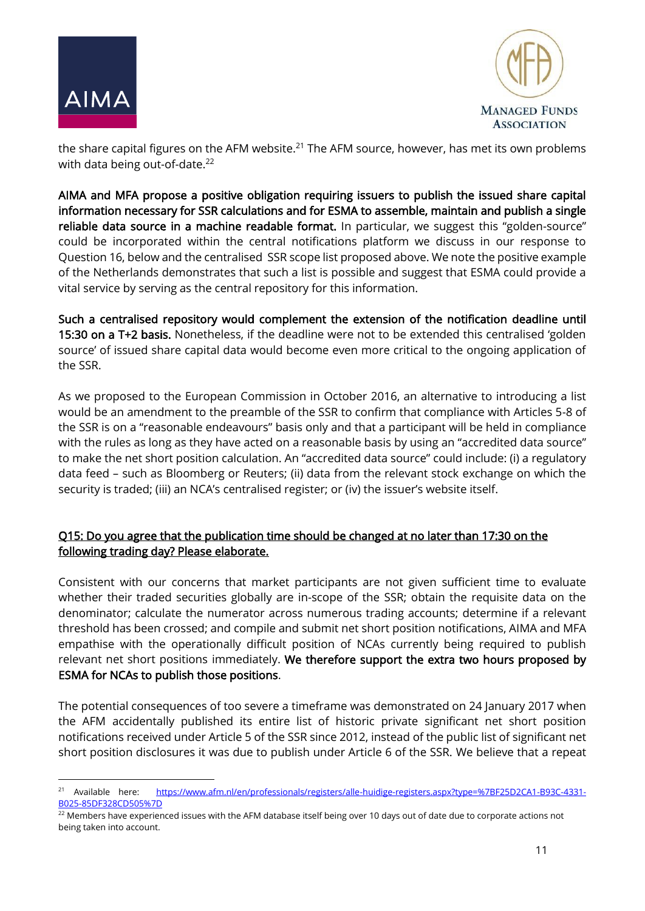



the share capital figures on the AFM website.<sup>21</sup> The AFM source, however, has met its own problems with data being out-of-date.<sup>22</sup>

AIMA and MFA propose a positive obligation requiring issuers to publish the issued share capital information necessary for SSR calculations and for ESMA to assemble, maintain and publish a single reliable data source in a machine readable format. In particular, we suggest this "golden-source" could be incorporated within the central notifications platform we discuss in our response to Question 16, below and the centralised SSR scope list proposed above. We note the positive example of the Netherlands demonstrates that such a list is possible and suggest that ESMA could provide a vital service by serving as the central repository for this information.

Such a centralised repository would complement the extension of the notification deadline until 15:30 on a T+2 basis. Nonetheless, if the deadline were not to be extended this centralised 'golden source' of issued share capital data would become even more critical to the ongoing application of the SSR.

As we proposed to the European Commission in October 2016, an alternative to introducing a list would be an amendment to the preamble of the SSR to confirm that compliance with Articles 5-8 of the SSR is on a "reasonable endeavours" basis only and that a participant will be held in compliance with the rules as long as they have acted on a reasonable basis by using an "accredited data source" to make the net short position calculation. An "accredited data source" could include: (i) a regulatory data feed – such as Bloomberg or Reuters; (ii) data from the relevant stock exchange on which the security is traded; (iii) an NCA's centralised register; or (iv) the issuer's website itself.

## Q15: Do you agree that the publication time should be changed at no later than 17:30 on the following trading day? Please elaborate.

Consistent with our concerns that market participants are not given sufficient time to evaluate whether their traded securities globally are in-scope of the SSR; obtain the requisite data on the denominator; calculate the numerator across numerous trading accounts; determine if a relevant threshold has been crossed; and compile and submit net short position notifications, AIMA and MFA empathise with the operationally difficult position of NCAs currently being required to publish relevant net short positions immediately. We therefore support the extra two hours proposed by ESMA for NCAs to publish those positions.

The potential consequences of too severe a timeframe was demonstrated on 24 January 2017 when the AFM accidentally published its entire list of historic private significant net short position notifications received under Article 5 of the SSR since 2012, instead of the public list of significant net short position disclosures it was due to publish under Article 6 of the SSR. We believe that a repeat

<sup>&</sup>lt;sup>21</sup> Available here: [https://www.afm.nl/en/professionals/registers/alle-huidige-registers.aspx?type=%7BF25D2CA1-B93C-4331-](https://www.afm.nl/en/professionals/registers/alle-huidige-registers.aspx?type=%7BF25D2CA1-B93C-4331-B025-85DF328CD505%7D) [B025-85DF328CD505%7D](https://www.afm.nl/en/professionals/registers/alle-huidige-registers.aspx?type=%7BF25D2CA1-B93C-4331-B025-85DF328CD505%7D)

<sup>&</sup>lt;sup>22</sup> Members have experienced issues with the AFM database itself being over 10 days out of date due to corporate actions not being taken into account.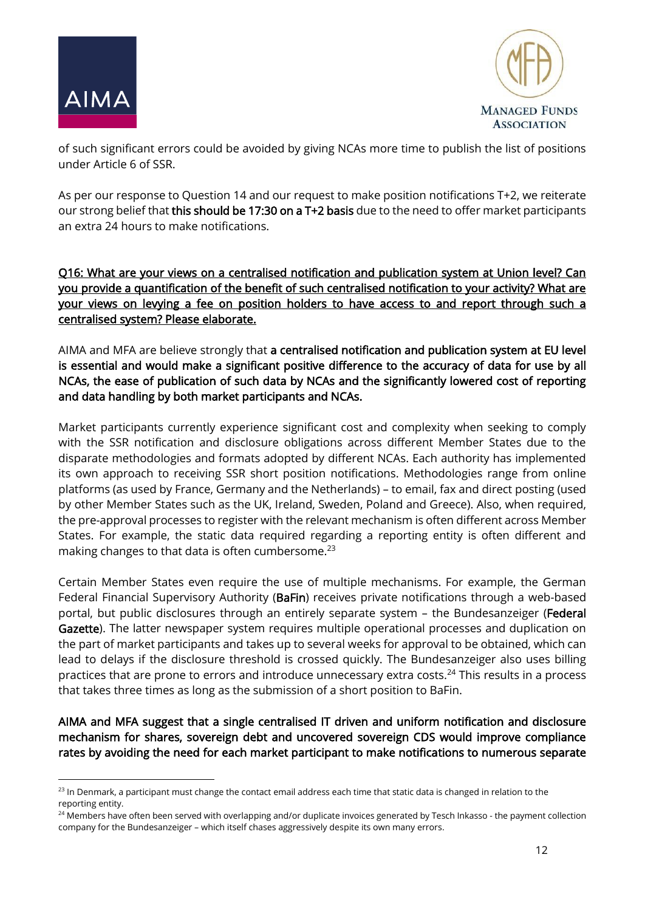



of such significant errors could be avoided by giving NCAs more time to publish the list of positions under Article 6 of SSR.

As per our response to Question 14 and our request to make position notifications T+2, we reiterate our strong belief that this should be 17:30 on a T+2 basis due to the need to offer market participants an extra 24 hours to make notifications.

Q16: What are your views on a centralised notification and publication system at Union level? Can you provide a quantification of the benefit of such centralised notification to your activity? What are your views on levying a fee on position holders to have access to and report through such a centralised system? Please elaborate.

AIMA and MFA are believe strongly that a centralised notification and publication system at EU level is essential and would make a significant positive difference to the accuracy of data for use by all NCAs, the ease of publication of such data by NCAs and the significantly lowered cost of reporting and data handling by both market participants and NCAs.

Market participants currently experience significant cost and complexity when seeking to comply with the SSR notification and disclosure obligations across different Member States due to the disparate methodologies and formats adopted by different NCAs. Each authority has implemented its own approach to receiving SSR short position notifications. Methodologies range from online platforms (as used by France, Germany and the Netherlands) – to email, fax and direct posting (used by other Member States such as the UK, Ireland, Sweden, Poland and Greece). Also, when required, the pre-approval processes to register with the relevant mechanism is often different across Member States. For example, the static data required regarding a reporting entity is often different and making changes to that data is often cumbersome.<sup>23</sup>

Certain Member States even require the use of multiple mechanisms. For example, the German Federal Financial Supervisory Authority (BaFin) receives private notifications through a web-based portal, but public disclosures through an entirely separate system - the Bundesanzeiger (Federal Gazette). The latter newspaper system requires multiple operational processes and duplication on the part of market participants and takes up to several weeks for approval to be obtained, which can lead to delays if the disclosure threshold is crossed quickly. The Bundesanzeiger also uses billing practices that are prone to errors and introduce unnecessary extra costs.<sup>24</sup> This results in a process that takes three times as long as the submission of a short position to BaFin.

AIMA and MFA suggest that a single centralised IT driven and uniform notification and disclosure mechanism for shares, sovereign debt and uncovered sovereign CDS would improve compliance rates by avoiding the need for each market participant to make notifications to numerous separate

<sup>&</sup>lt;sup>23</sup> In Denmark, a participant must change the contact email address each time that static data is changed in relation to the reporting entity.

<sup>&</sup>lt;sup>24</sup> Members have often been served with overlapping and/or duplicate invoices generated by Tesch Inkasso - the payment collection company for the Bundesanzeiger – which itself chases aggressively despite its own many errors.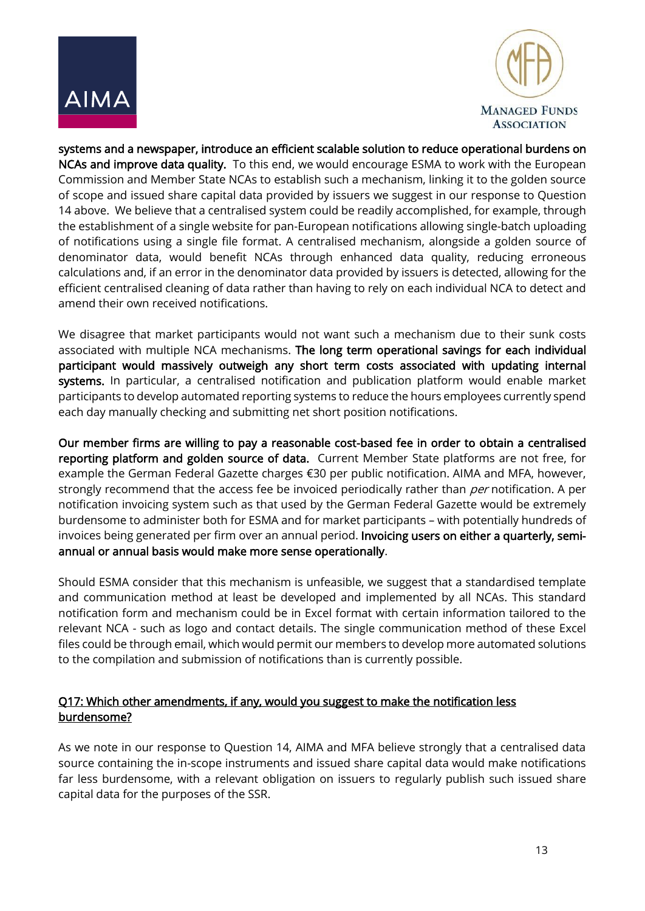



systems and a newspaper, introduce an efficient scalable solution to reduce operational burdens on NCAs and improve data quality. To this end, we would encourage ESMA to work with the European Commission and Member State NCAs to establish such a mechanism, linking it to the golden source of scope and issued share capital data provided by issuers we suggest in our response to Question 14 above. We believe that a centralised system could be readily accomplished, for example, through the establishment of a single website for pan-European notifications allowing single-batch uploading of notifications using a single file format. A centralised mechanism, alongside a golden source of denominator data, would benefit NCAs through enhanced data quality, reducing erroneous calculations and, if an error in the denominator data provided by issuers is detected, allowing for the efficient centralised cleaning of data rather than having to rely on each individual NCA to detect and amend their own received notifications.

We disagree that market participants would not want such a mechanism due to their sunk costs associated with multiple NCA mechanisms. The long term operational savings for each individual participant would massively outweigh any short term costs associated with updating internal systems. In particular, a centralised notification and publication platform would enable market participants to develop automated reporting systems to reduce the hours employees currently spend each day manually checking and submitting net short position notifications.

Our member firms are willing to pay a reasonable cost-based fee in order to obtain a centralised reporting platform and golden source of data. Current Member State platforms are not free, for example the German Federal Gazette charges €30 per public notification. AIMA and MFA, however, strongly recommend that the access fee be invoiced periodically rather than *per* notification. A per notification invoicing system such as that used by the German Federal Gazette would be extremely burdensome to administer both for ESMA and for market participants – with potentially hundreds of invoices being generated per firm over an annual period. Invoicing users on either a quarterly, semiannual or annual basis would make more sense operationally.

Should ESMA consider that this mechanism is unfeasible, we suggest that a standardised template and communication method at least be developed and implemented by all NCAs. This standard notification form and mechanism could be in Excel format with certain information tailored to the relevant NCA - such as logo and contact details. The single communication method of these Excel files could be through email, which would permit our members to develop more automated solutions to the compilation and submission of notifications than is currently possible.

## Q17: Which other amendments, if any, would you suggest to make the notification less burdensome?

As we note in our response to Question 14, AIMA and MFA believe strongly that a centralised data source containing the in-scope instruments and issued share capital data would make notifications far less burdensome, with a relevant obligation on issuers to regularly publish such issued share capital data for the purposes of the SSR.